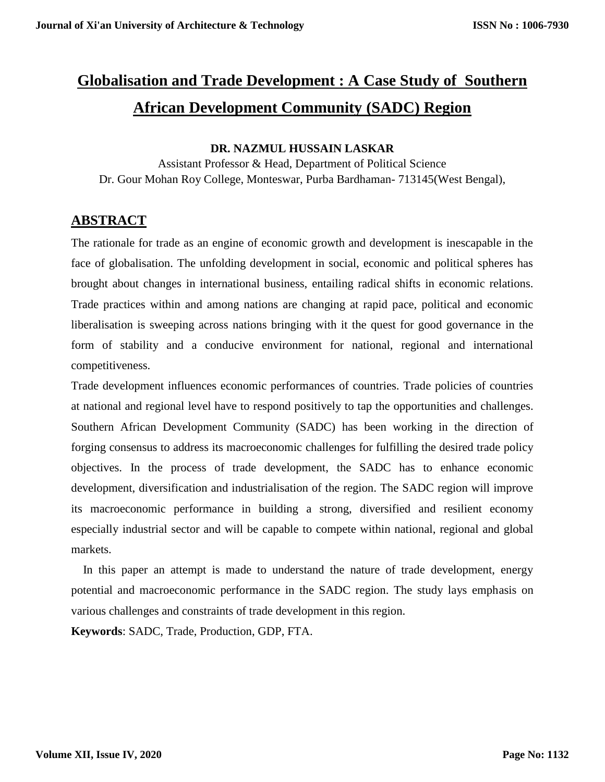# **Globalisation and Trade Development : A Case Study of Southern African Development Community (SADC) Region**

#### **DR. NAZMUL HUSSAIN LASKAR**

Assistant Professor & Head, Department of Political Science Dr. Gour Mohan Roy College, Monteswar, Purba Bardhaman- 713145(West Bengal),

## **ABSTRACT**

The rationale for trade as an engine of economic growth and development is inescapable in the face of globalisation. The unfolding development in social, economic and political spheres has brought about changes in international business, entailing radical shifts in economic relations. Trade practices within and among nations are changing at rapid pace, political and economic liberalisation is sweeping across nations bringing with it the quest for good governance in the form of stability and a conducive environment for national, regional and international competitiveness.

Trade development influences economic performances of countries. Trade policies of countries at national and regional level have to respond positively to tap the opportunities and challenges. Southern African Development Community (SADC) has been working in the direction of forging consensus to address its macroeconomic challenges for fulfilling the desired trade policy objectives. In the process of trade development, the SADC has to enhance economic development, diversification and industrialisation of the region. The SADC region will improve its macroeconomic performance in building a strong, diversified and resilient economy especially industrial sector and will be capable to compete within national, regional and global markets.

 In this paper an attempt is made to understand the nature of trade development, energy potential and macroeconomic performance in the SADC region. The study lays emphasis on various challenges and constraints of trade development in this region.

**Keywords**: SADC, Trade, Production, GDP, FTA.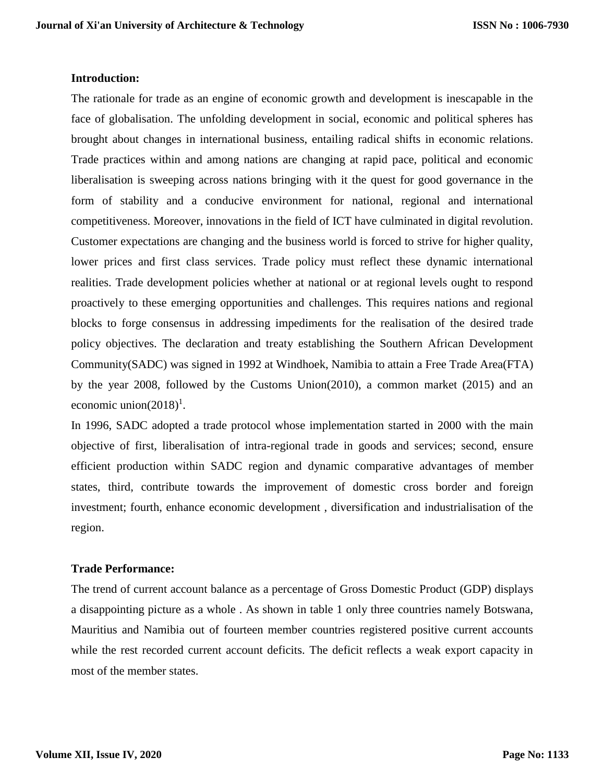#### **Introduction:**

The rationale for trade as an engine of economic growth and development is inescapable in the face of globalisation. The unfolding development in social, economic and political spheres has brought about changes in international business, entailing radical shifts in economic relations. Trade practices within and among nations are changing at rapid pace, political and economic liberalisation is sweeping across nations bringing with it the quest for good governance in the form of stability and a conducive environment for national, regional and international competitiveness. Moreover, innovations in the field of ICT have culminated in digital revolution. Customer expectations are changing and the business world is forced to strive for higher quality, lower prices and first class services. Trade policy must reflect these dynamic international realities. Trade development policies whether at national or at regional levels ought to respond proactively to these emerging opportunities and challenges. This requires nations and regional blocks to forge consensus in addressing impediments for the realisation of the desired trade policy objectives. The declaration and treaty establishing the Southern African Development Community(SADC) was signed in 1992 at Windhoek, Namibia to attain a Free Trade Area(FTA) by the year 2008, followed by the Customs Union(2010), a common market (2015) and an economic union $(2018)^1$ .

In 1996, SADC adopted a trade protocol whose implementation started in 2000 with the main objective of first, liberalisation of intra-regional trade in goods and services; second, ensure efficient production within SADC region and dynamic comparative advantages of member states, third, contribute towards the improvement of domestic cross border and foreign investment; fourth, enhance economic development , diversification and industrialisation of the region.

#### **Trade Performance:**

The trend of current account balance as a percentage of Gross Domestic Product (GDP) displays a disappointing picture as a whole . As shown in table 1 only three countries namely Botswana, Mauritius and Namibia out of fourteen member countries registered positive current accounts while the rest recorded current account deficits. The deficit reflects a weak export capacity in most of the member states.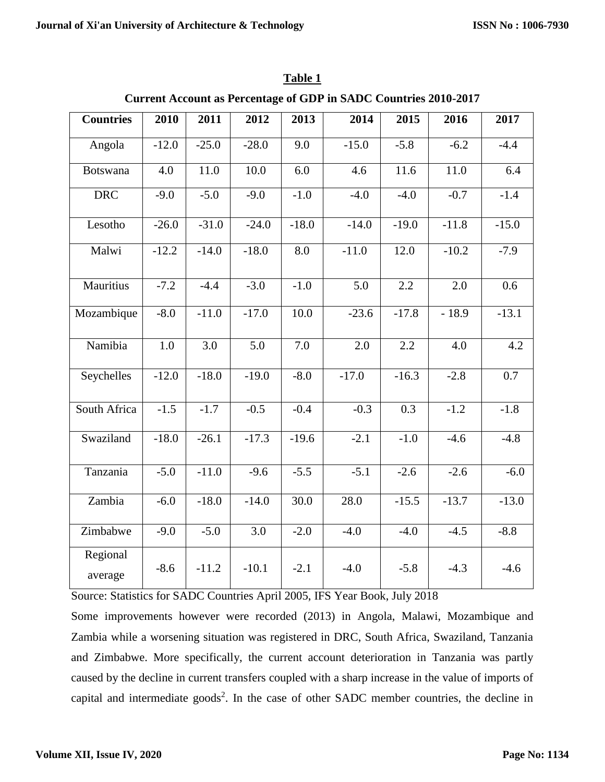| <b>Countries</b>    | 2010    | 2011    | 2012    | 2013    | 2014    | 2015    | 2016    | 2017    |
|---------------------|---------|---------|---------|---------|---------|---------|---------|---------|
| Angola              | $-12.0$ | $-25.0$ | $-28.0$ | 9.0     | $-15.0$ | $-5.8$  | $-6.2$  | $-4.4$  |
| Botswana            | 4.0     | 11.0    | 10.0    | 6.0     | 4.6     | 11.6    | 11.0    | 6.4     |
| <b>DRC</b>          | $-9.0$  | $-5.0$  | $-9.0$  | $-1.0$  | $-4.0$  | $-4.0$  | $-0.7$  | $-1.4$  |
| Lesotho             | $-26.0$ | $-31.0$ | $-24.0$ | $-18.0$ | $-14.0$ | $-19.0$ | $-11.8$ | $-15.0$ |
| Malwi               | $-12.2$ | $-14.0$ | $-18.0$ | 8.0     | $-11.0$ | 12.0    | $-10.2$ | $-7.9$  |
| Mauritius           | $-7.2$  | $-4.4$  | $-3.0$  | $-1.0$  | 5.0     | 2.2     | 2.0     | 0.6     |
| Mozambique          | $-8.0$  | $-11.0$ | $-17.0$ | 10.0    | $-23.6$ | $-17.8$ | $-18.9$ | $-13.1$ |
| Namibia             | 1.0     | 3.0     | 5.0     | 7.0     | 2.0     | 2.2     | 4.0     | 4.2     |
| Seychelles          | $-12.0$ | $-18.0$ | $-19.0$ | $-8.0$  | $-17.0$ | $-16.3$ | $-2.8$  | 0.7     |
| South Africa        | $-1.5$  | $-1.7$  | $-0.5$  | $-0.4$  | $-0.3$  | 0.3     | $-1.2$  | $-1.8$  |
| Swaziland           | $-18.0$ | $-26.1$ | $-17.3$ | $-19.6$ | $-2.1$  | $-1.0$  | $-4.6$  | $-4.8$  |
| Tanzania            | $-5.0$  | $-11.0$ | $-9.6$  | $-5.5$  | $-5.1$  | $-2.6$  | $-2.6$  | $-6.0$  |
| Zambia              | $-6.0$  | $-18.0$ | $-14.0$ | 30.0    | 28.0    | $-15.5$ | $-13.7$ | $-13.0$ |
| Zimbabwe            | $-9.0$  | $-5.0$  | 3.0     | $-2.0$  | $-4.0$  | $-4.0$  | $-4.5$  | $-8.8$  |
| Regional<br>average | $-8.6$  | $-11.2$ | $-10.1$ | $-2.1$  | $-4.0$  | $-5.8$  | $-4.3$  | $-4.6$  |

**Table 1 Current Account as Percentage of GDP in SADC Countries 2010-2017**

Source: Statistics for SADC Countries April 2005, IFS Year Book, July 2018

Some improvements however were recorded (2013) in Angola, Malawi, Mozambique and Zambia while a worsening situation was registered in DRC, South Africa, Swaziland, Tanzania and Zimbabwe. More specifically, the current account deterioration in Tanzania was partly caused by the decline in current transfers coupled with a sharp increase in the value of imports of capital and intermediate goods<sup>2</sup>. In the case of other SADC member countries, the decline in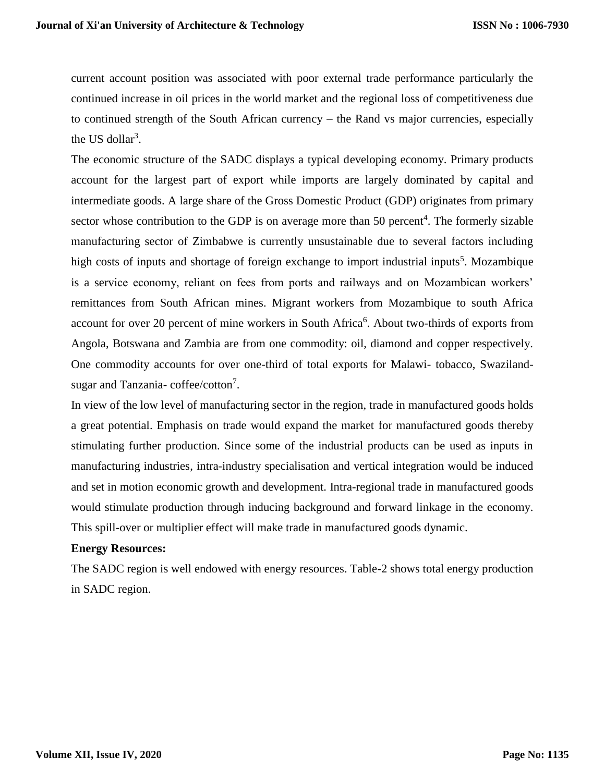current account position was associated with poor external trade performance particularly the continued increase in oil prices in the world market and the regional loss of competitiveness due to continued strength of the South African currency – the Rand vs major currencies, especially the US dollar<sup>3</sup>.

The economic structure of the SADC displays a typical developing economy. Primary products account for the largest part of export while imports are largely dominated by capital and intermediate goods. A large share of the Gross Domestic Product (GDP) originates from primary sector whose contribution to the GDP is on average more than 50 percent<sup>4</sup>. The formerly sizable manufacturing sector of Zimbabwe is currently unsustainable due to several factors including high costs of inputs and shortage of foreign exchange to import industrial inputs<sup>5</sup>. Mozambique is a service economy, reliant on fees from ports and railways and on Mozambican workers' remittances from South African mines. Migrant workers from Mozambique to south Africa account for over 20 percent of mine workers in South Africa<sup>6</sup>. About two-thirds of exports from Angola, Botswana and Zambia are from one commodity: oil, diamond and copper respectively. One commodity accounts for over one-third of total exports for Malawi- tobacco, Swazilandsugar and Tanzania-coffee/cotton<sup>7</sup>.

In view of the low level of manufacturing sector in the region, trade in manufactured goods holds a great potential. Emphasis on trade would expand the market for manufactured goods thereby stimulating further production. Since some of the industrial products can be used as inputs in manufacturing industries, intra-industry specialisation and vertical integration would be induced and set in motion economic growth and development. Intra-regional trade in manufactured goods would stimulate production through inducing background and forward linkage in the economy. This spill-over or multiplier effect will make trade in manufactured goods dynamic.

## **Energy Resources:**

The SADC region is well endowed with energy resources. Table-2 shows total energy production in SADC region.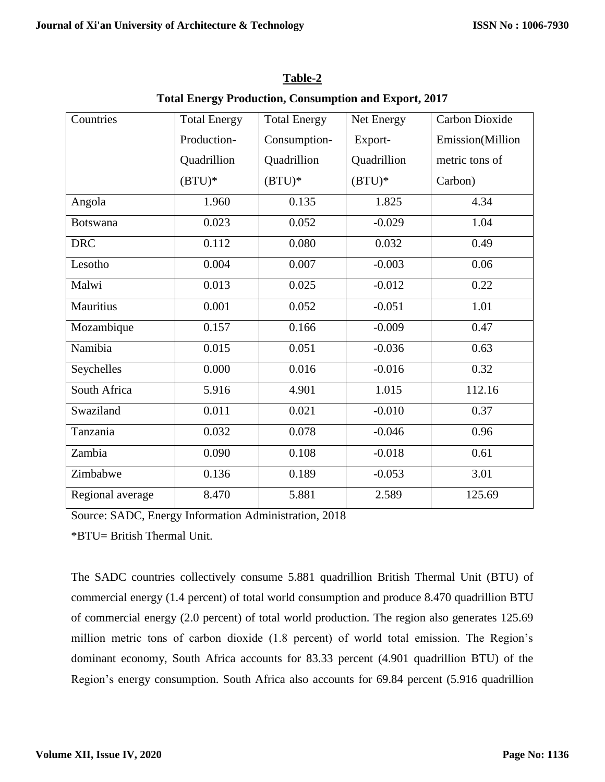| Countries        | <b>Total Energy</b> | <b>Total Energy</b> | Net Energy  | Carbon Dioxide   |
|------------------|---------------------|---------------------|-------------|------------------|
|                  | Production-         | Consumption-        | Export-     | Emission(Million |
|                  | Quadrillion         | Quadrillion         | Quadrillion | metric tons of   |
|                  | $(BTU)*$            | $(BTU)^*$           | $(BTU)*$    | Carbon)          |
| Angola           | 1.960               | 0.135               | 1.825       | 4.34             |
| <b>Botswana</b>  | 0.023               | 0.052               | $-0.029$    | 1.04             |
| <b>DRC</b>       | 0.112               | 0.080               | 0.032       | 0.49             |
| Lesotho          | 0.004               | 0.007               | $-0.003$    | 0.06             |
| Malwi            | 0.013               | 0.025               | $-0.012$    | 0.22             |
| <b>Mauritius</b> | 0.001               | 0.052               | $-0.051$    | 1.01             |
| Mozambique       | 0.157               | 0.166               | $-0.009$    | 0.47             |
| Namibia          | 0.015               | 0.051               | $-0.036$    | 0.63             |
| Seychelles       | 0.000               | 0.016               | $-0.016$    | 0.32             |
| South Africa     | 5.916               | 4.901               | 1.015       | 112.16           |
| Swaziland        | 0.011               | 0.021               | $-0.010$    | 0.37             |
| Tanzania         | 0.032               | 0.078               | $-0.046$    | 0.96             |
| Zambia           | 0.090               | 0.108               | $-0.018$    | 0.61             |
| Zimbabwe         | 0.136               | 0.189               | $-0.053$    | 3.01             |
| Regional average | 8.470               | 5.881               | 2.589       | 125.69           |

**Table-2 Total Energy Production, Consumption and Export, 2017**

Source: SADC, Energy Information Administration, 2018

\*BTU= British Thermal Unit.

The SADC countries collectively consume 5.881 quadrillion British Thermal Unit (BTU) of commercial energy (1.4 percent) of total world consumption and produce 8.470 quadrillion BTU of commercial energy (2.0 percent) of total world production. The region also generates 125.69 million metric tons of carbon dioxide (1.8 percent) of world total emission. The Region's dominant economy, South Africa accounts for 83.33 percent (4.901 quadrillion BTU) of the Region's energy consumption. South Africa also accounts for 69.84 percent (5.916 quadrillion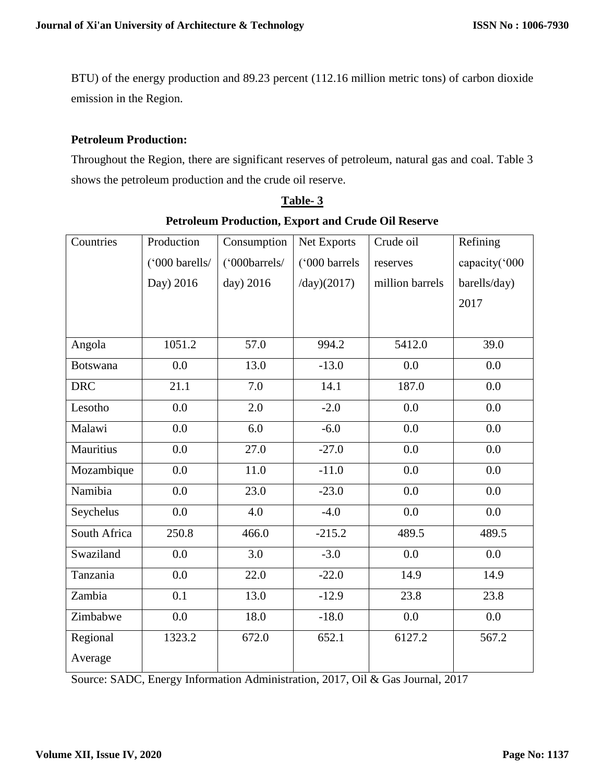BTU) of the energy production and 89.23 percent (112.16 million metric tons) of carbon dioxide emission in the Region.

### **Petroleum Production:**

Throughout the Region, there are significant reserves of petroleum, natural gas and coal. Table 3 shows the petroleum production and the crude oil reserve.

| Countries       | Production     | Consumption   | Net Exports   | Crude oil       | Refining      |  |
|-----------------|----------------|---------------|---------------|-----------------|---------------|--|
|                 | ('000 barells/ | ('000barrels/ | ('000 barrels | reserves        | capacity('000 |  |
|                 | Day) 2016      | day) 2016     | /day)(2017)   | million barrels | barells/day)  |  |
|                 |                |               |               |                 | 2017          |  |
|                 |                |               |               |                 |               |  |
| Angola          | 1051.2         | 57.0          | 994.2         | 5412.0          | 39.0          |  |
| <b>Botswana</b> | 0.0            | 13.0          | $-13.0$       | 0.0             | 0.0           |  |
| <b>DRC</b>      | 21.1           | 7.0           | 14.1          | 187.0           | 0.0           |  |
| Lesotho         | 0.0            | 2.0           | $-2.0$        | 0.0             | 0.0           |  |
| Malawi          | 0.0            | 6.0           | $-6.0$        | 0.0             | 0.0           |  |
| Mauritius       | 0.0            | 27.0          | $-27.0$       | 0.0             | 0.0           |  |
| Mozambique      | 0.0            | 11.0          | $-11.0$       | 0.0             | 0.0           |  |
| Namibia         | 0.0            | 23.0          | $-23.0$       | 0.0             | 0.0           |  |
| Seychelus       | 0.0            | 4.0           | $-4.0$        | 0.0             | 0.0           |  |
| South Africa    | 250.8          | 466.0         | $-215.2$      | 489.5           | 489.5         |  |
| Swaziland       | 0.0            | 3.0           | $-3.0$        | 0.0             | 0.0           |  |
| Tanzania        | 0.0            | 22.0          | $-22.0$       | 14.9            | 14.9          |  |
| Zambia          | 0.1            | 13.0          | $-12.9$       | 23.8            | 23.8          |  |
| Zimbabwe        | 0.0            | 18.0          | $-18.0$       | 0.0             | $0.0\,$       |  |
| Regional        | 1323.2         | 672.0         | 652.1         | 6127.2          | 567.2         |  |
| Average         |                |               |               |                 |               |  |

|                                                           | Table-3 |  |
|-----------------------------------------------------------|---------|--|
| <b>Petroleum Production, Export and Crude Oil Reserve</b> |         |  |

Source: SADC, Energy Information Administration, 2017, Oil & Gas Journal, 2017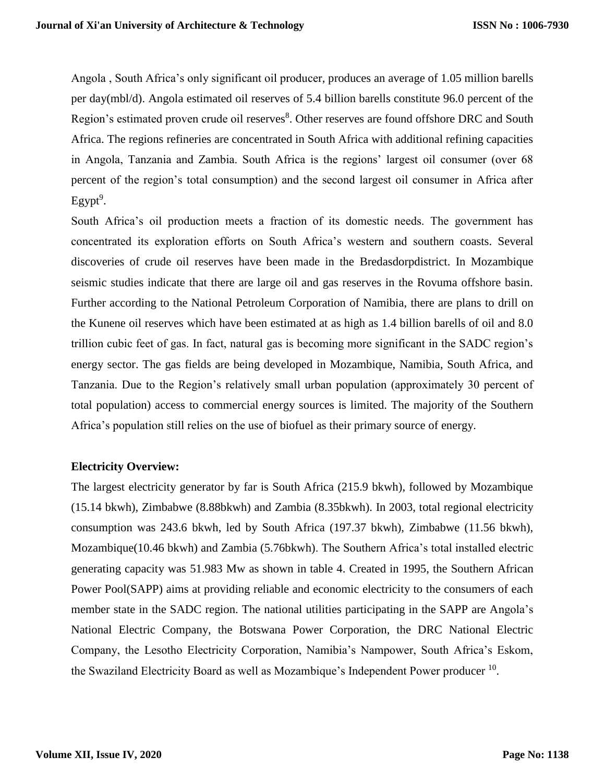Angola , South Africa's only significant oil producer, produces an average of 1.05 million barells per day(mbl/d). Angola estimated oil reserves of 5.4 billion barells constitute 96.0 percent of the Region's estimated proven crude oil reserves<sup>8</sup>. Other reserves are found offshore DRC and South Africa. The regions refineries are concentrated in South Africa with additional refining capacities in Angola, Tanzania and Zambia. South Africa is the regions' largest oil consumer (over 68 percent of the region's total consumption) and the second largest oil consumer in Africa after  $Egypt<sup>9</sup>$ .

South Africa's oil production meets a fraction of its domestic needs. The government has concentrated its exploration efforts on South Africa's western and southern coasts. Several discoveries of crude oil reserves have been made in the Bredasdorpdistrict. In Mozambique seismic studies indicate that there are large oil and gas reserves in the Rovuma offshore basin. Further according to the National Petroleum Corporation of Namibia, there are plans to drill on the Kunene oil reserves which have been estimated at as high as 1.4 billion barells of oil and 8.0 trillion cubic feet of gas. In fact, natural gas is becoming more significant in the SADC region's energy sector. The gas fields are being developed in Mozambique, Namibia, South Africa, and Tanzania. Due to the Region's relatively small urban population (approximately 30 percent of total population) access to commercial energy sources is limited. The majority of the Southern Africa's population still relies on the use of biofuel as their primary source of energy.

## **Electricity Overview:**

The largest electricity generator by far is South Africa (215.9 bkwh), followed by Mozambique (15.14 bkwh), Zimbabwe (8.88bkwh) and Zambia (8.35bkwh). In 2003, total regional electricity consumption was 243.6 bkwh, led by South Africa (197.37 bkwh), Zimbabwe (11.56 bkwh), Mozambique(10.46 bkwh) and Zambia (5.76bkwh). The Southern Africa's total installed electric generating capacity was 51.983 Mw as shown in table 4. Created in 1995, the Southern African Power Pool(SAPP) aims at providing reliable and economic electricity to the consumers of each member state in the SADC region. The national utilities participating in the SAPP are Angola's National Electric Company, the Botswana Power Corporation, the DRC National Electric Company, the Lesotho Electricity Corporation, Namibia's Nampower, South Africa's Eskom, the Swaziland Electricity Board as well as Mozambique's Independent Power producer <sup>10</sup>.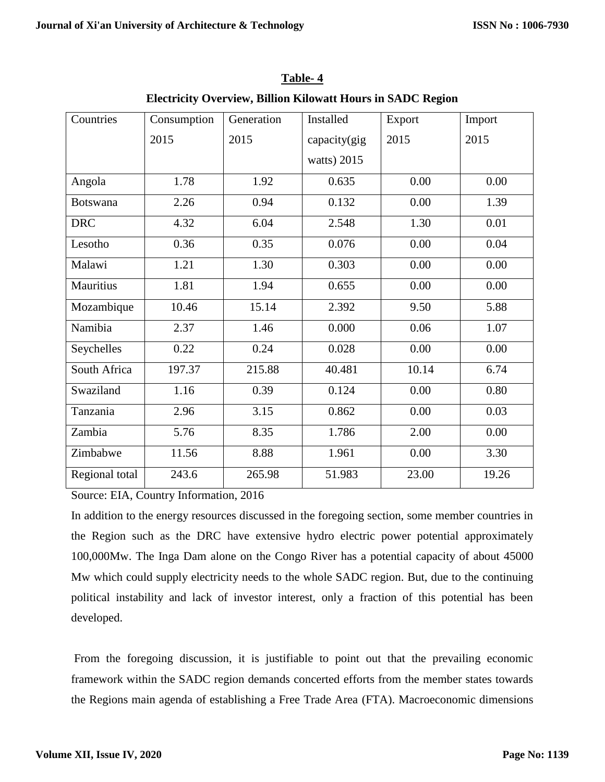| Countries       | Consumption | Generation | Installed    | Export | Import |  |
|-----------------|-------------|------------|--------------|--------|--------|--|
|                 | 2015        | 2015       | capacity(gig | 2015   | 2015   |  |
|                 |             |            | watts) 2015  |        |        |  |
| Angola          | 1.78        | 1.92       | 0.635        | 0.00   | 0.00   |  |
| <b>Botswana</b> | 2.26        | 0.94       | 0.132        | 0.00   | 1.39   |  |
| <b>DRC</b>      | 4.32        | 6.04       | 2.548        | 1.30   | 0.01   |  |
| Lesotho         | 0.36        | 0.35       | 0.076        | 0.00   | 0.04   |  |
| Malawi          | 1.21        | 1.30       | 0.303        | 0.00   | 0.00   |  |
| Mauritius       | 1.81        | 1.94       | 0.655        | 0.00   | 0.00   |  |
| Mozambique      | 10.46       | 15.14      | 2.392        | 9.50   | 5.88   |  |
| Namibia         | 2.37        | 1.46       | 0.000        | 0.06   | 1.07   |  |
| Seychelles      | 0.22        | 0.24       | 0.028        | 0.00   | 0.00   |  |
| South Africa    | 197.37      | 215.88     | 40.481       | 10.14  | 6.74   |  |
| Swaziland       | 1.16        | 0.39       | 0.124        | 0.00   | 0.80   |  |
| Tanzania        | 2.96        | 3.15       | 0.862        | 0.00   | 0.03   |  |
| Zambia          | 5.76        | 8.35       | 1.786        | 2.00   | 0.00   |  |
| Zimbabwe        | 11.56       | 8.88       | 1.961        | 0.00   | 3.30   |  |
| Regional total  | 243.6       | 265.98     | 51.983       | 23.00  | 19.26  |  |

**Table- 4 Electricity Overview, Billion Kilowatt Hours in SADC Region**

Source: EIA, Country Information, 2016

In addition to the energy resources discussed in the foregoing section, some member countries in the Region such as the DRC have extensive hydro electric power potential approximately 100,000Mw. The Inga Dam alone on the Congo River has a potential capacity of about 45000 Mw which could supply electricity needs to the whole SADC region. But, due to the continuing political instability and lack of investor interest, only a fraction of this potential has been developed.

From the foregoing discussion, it is justifiable to point out that the prevailing economic framework within the SADC region demands concerted efforts from the member states towards the Regions main agenda of establishing a Free Trade Area (FTA). Macroeconomic dimensions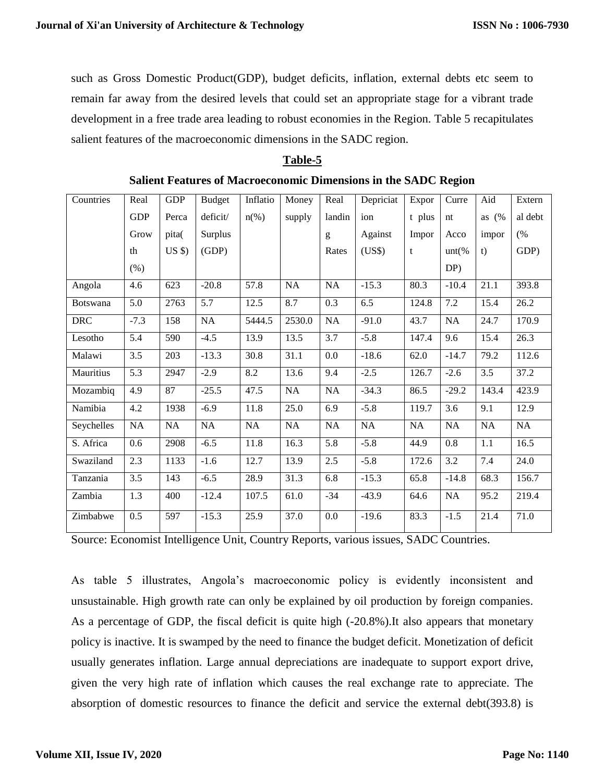such as Gross Domestic Product(GDP), budget deficits, inflation, external debts etc seem to remain far away from the desired levels that could set an appropriate stage for a vibrant trade development in a free trade area leading to robust economies in the Region. Table 5 recapitulates salient features of the macroeconomic dimensions in the SADC region.

#### **Table-5**

| Countries       | Real       | <b>GDP</b> | <b>Budget</b> | Inflatio           | Money     | Real      | Depriciat | Expor     | Curre   | Aid     | Extern  |
|-----------------|------------|------------|---------------|--------------------|-----------|-----------|-----------|-----------|---------|---------|---------|
|                 | <b>GDP</b> | Perca      | deficit/      | $n\left(\%\right)$ | supply    | landin    | ion       | t plus    | nt      | as $(%$ | al debt |
|                 | Grow       | pita(      | Surplus       |                    |           | g         | Against   | Impor     | Acco    | impor   | (%      |
|                 | th         | $US$ \$)   | (GDP)         |                    |           | Rates     | (US\$)    | t         | $unt$ % | t)      | GDP)    |
|                 | $(\% )$    |            |               |                    |           |           |           |           | DP)     |         |         |
| Angola          | 4.6        | 623        | $-20.8$       | 57.8               | <b>NA</b> | <b>NA</b> | $-15.3$   | 80.3      | $-10.4$ | 21.1    | 393.8   |
| <b>Botswana</b> | 5.0        | 2763       | 5.7           | 12.5               | 8.7       | 0.3       | 6.5       | 124.8     | 7.2     | 15.4    | 26.2    |
| <b>DRC</b>      | $-7.3$     | 158        | NA            | 5444.5             | 2530.0    | NA        | $-91.0$   | 43.7      | NA      | 24.7    | 170.9   |
| Lesotho         | 5.4        | 590        | $-4.5$        | 13.9               | 13.5      | 3.7       | $-5.8$    | 147.4     | 9.6     | 15.4    | 26.3    |
| Malawi          | 3.5        | 203        | $-13.3$       | 30.8               | 31.1      | 0.0       | $-18.6$   | 62.0      | $-14.7$ | 79.2    | 112.6   |
| Mauritius       | 5.3        | 2947       | $-2.9$        | 8.2                | 13.6      | 9.4       | $-2.5$    | 126.7     | $-2.6$  | 3.5     | 37.2    |
| Mozambiq        | 4.9        | 87         | $-25.5$       | 47.5               | NA        | NA        | $-34.3$   | 86.5      | $-29.2$ | 143.4   | 423.9   |
| Namibia         | 4.2        | 1938       | $-6.9$        | 11.8               | 25.0      | 6.9       | $-5.8$    | 119.7     | 3.6     | 9.1     | 12.9    |
| Seychelles      | NA         | <b>NA</b>  | NA            | <b>NA</b>          | NA        | <b>NA</b> | NA        | <b>NA</b> | NA      | NA      | NA      |
| S. Africa       | 0.6        | 2908       | $-6.5$        | 11.8               | 16.3      | 5.8       | $-5.8$    | 44.9      | 0.8     | 1.1     | 16.5    |
| Swaziland       | 2.3        | 1133       | $-1.6$        | 12.7               | 13.9      | 2.5       | $-5.8$    | 172.6     | 3.2     | 7.4     | 24.0    |
| Tanzania        | 3.5        | 143        | $-6.5$        | 28.9               | 31.3      | 6.8       | $-15.3$   | 65.8      | $-14.8$ | 68.3    | 156.7   |
| Zambia          | 1.3        | 400        | $-12.4$       | 107.5              | 61.0      | $-34$     | $-43.9$   | 64.6      | NA      | 95.2    | 219.4   |
| Zimbabwe        | 0.5        | 597        | $-15.3$       | 25.9               | 37.0      | 0.0       | $-19.6$   | 83.3      | $-1.5$  | 21.4    | 71.0    |

#### **Salient Features of Macroeconomic Dimensions in the SADC Region**

Source: Economist Intelligence Unit, Country Reports, various issues, SADC Countries.

As table 5 illustrates, Angola's macroeconomic policy is evidently inconsistent and unsustainable. High growth rate can only be explained by oil production by foreign companies. As a percentage of GDP, the fiscal deficit is quite high (-20.8%).It also appears that monetary policy is inactive. It is swamped by the need to finance the budget deficit. Monetization of deficit usually generates inflation. Large annual depreciations are inadequate to support export drive, given the very high rate of inflation which causes the real exchange rate to appreciate. The absorption of domestic resources to finance the deficit and service the external debt(393.8) is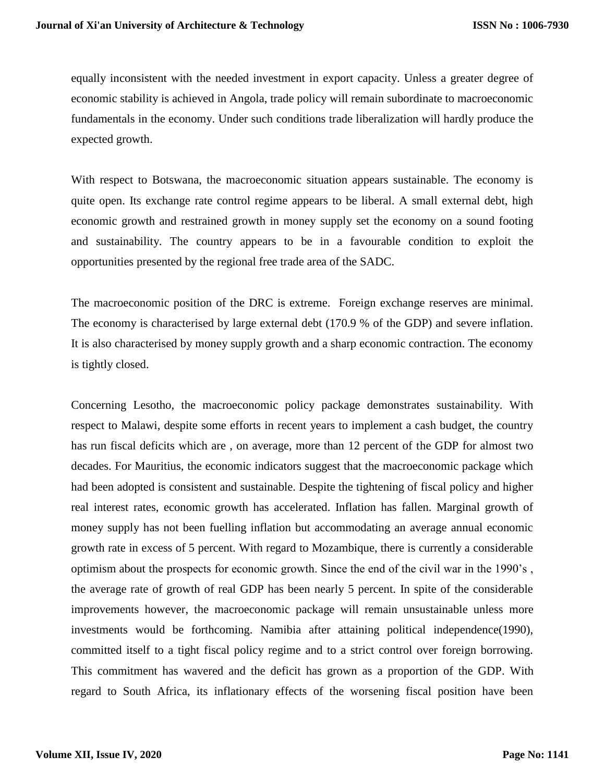equally inconsistent with the needed investment in export capacity. Unless a greater degree of economic stability is achieved in Angola, trade policy will remain subordinate to macroeconomic fundamentals in the economy. Under such conditions trade liberalization will hardly produce the expected growth.

With respect to Botswana, the macroeconomic situation appears sustainable. The economy is quite open. Its exchange rate control regime appears to be liberal. A small external debt, high economic growth and restrained growth in money supply set the economy on a sound footing and sustainability. The country appears to be in a favourable condition to exploit the opportunities presented by the regional free trade area of the SADC.

The macroeconomic position of the DRC is extreme. Foreign exchange reserves are minimal. The economy is characterised by large external debt (170.9 % of the GDP) and severe inflation. It is also characterised by money supply growth and a sharp economic contraction. The economy is tightly closed.

Concerning Lesotho, the macroeconomic policy package demonstrates sustainability. With respect to Malawi, despite some efforts in recent years to implement a cash budget, the country has run fiscal deficits which are , on average, more than 12 percent of the GDP for almost two decades. For Mauritius, the economic indicators suggest that the macroeconomic package which had been adopted is consistent and sustainable. Despite the tightening of fiscal policy and higher real interest rates, economic growth has accelerated. Inflation has fallen. Marginal growth of money supply has not been fuelling inflation but accommodating an average annual economic growth rate in excess of 5 percent. With regard to Mozambique, there is currently a considerable optimism about the prospects for economic growth. Since the end of the civil war in the 1990's , the average rate of growth of real GDP has been nearly 5 percent. In spite of the considerable improvements however, the macroeconomic package will remain unsustainable unless more investments would be forthcoming. Namibia after attaining political independence(1990), committed itself to a tight fiscal policy regime and to a strict control over foreign borrowing. This commitment has wavered and the deficit has grown as a proportion of the GDP. With regard to South Africa, its inflationary effects of the worsening fiscal position have been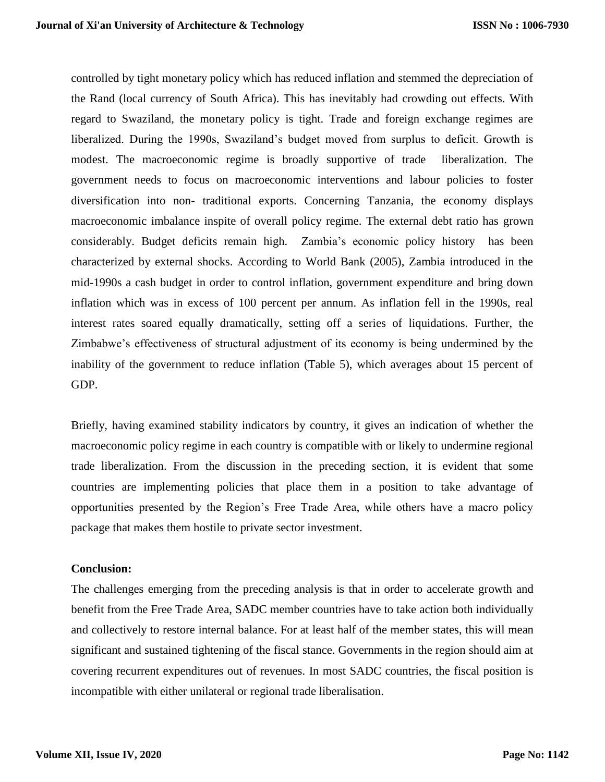controlled by tight monetary policy which has reduced inflation and stemmed the depreciation of the Rand (local currency of South Africa). This has inevitably had crowding out effects. With regard to Swaziland, the monetary policy is tight. Trade and foreign exchange regimes are liberalized. During the 1990s, Swaziland's budget moved from surplus to deficit. Growth is modest. The macroeconomic regime is broadly supportive of trade liberalization. The government needs to focus on macroeconomic interventions and labour policies to foster diversification into non- traditional exports. Concerning Tanzania, the economy displays macroeconomic imbalance inspite of overall policy regime. The external debt ratio has grown considerably. Budget deficits remain high. Zambia's economic policy history has been characterized by external shocks. According to World Bank (2005), Zambia introduced in the mid-1990s a cash budget in order to control inflation, government expenditure and bring down inflation which was in excess of 100 percent per annum. As inflation fell in the 1990s, real interest rates soared equally dramatically, setting off a series of liquidations. Further, the Zimbabwe's effectiveness of structural adjustment of its economy is being undermined by the inability of the government to reduce inflation (Table 5), which averages about 15 percent of GDP.

Briefly, having examined stability indicators by country, it gives an indication of whether the macroeconomic policy regime in each country is compatible with or likely to undermine regional trade liberalization. From the discussion in the preceding section, it is evident that some countries are implementing policies that place them in a position to take advantage of opportunities presented by the Region's Free Trade Area, while others have a macro policy package that makes them hostile to private sector investment.

#### **Conclusion:**

The challenges emerging from the preceding analysis is that in order to accelerate growth and benefit from the Free Trade Area, SADC member countries have to take action both individually and collectively to restore internal balance. For at least half of the member states, this will mean significant and sustained tightening of the fiscal stance. Governments in the region should aim at covering recurrent expenditures out of revenues. In most SADC countries, the fiscal position is incompatible with either unilateral or regional trade liberalisation.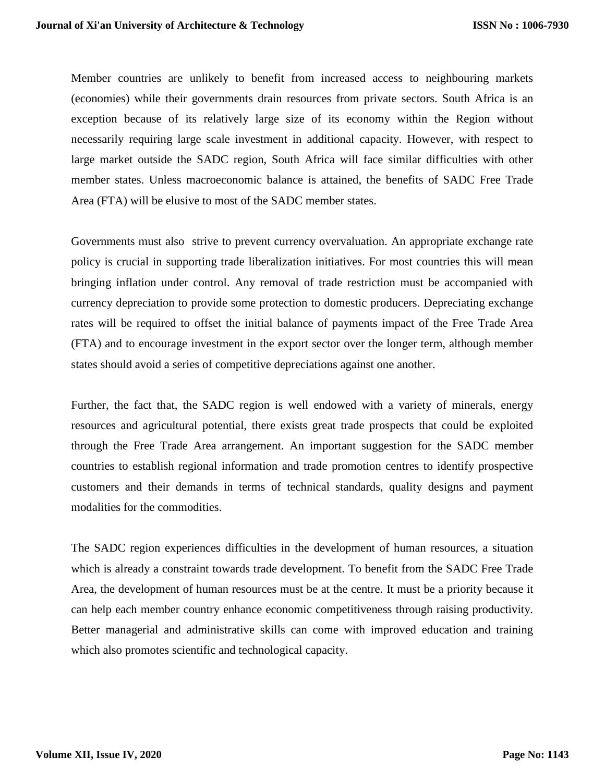Member countries are unlikely to benefit from increased access to neighbouring markets (economies) while their governments drain resources from private sectors. South Africa is an exception because of its relatively large size of its economy within the Region without necessarily requiring large scale investment in additional capacity. However, with respect to large market outside the SADC region, South Africa will face similar difficulties with other member states. Unless macroeconomic balance is attained, the benefits of SADC Free Trade Area (FTA) will be elusive to most of the SADC member states.

Governments must also strive to prevent currency overvaluation. An appropriate exchange rate policy is crucial in supporting trade liberalization initiatives. For most countries this will mean bringing inflation under control. Any removal of trade restriction must be accompanied with currency depreciation to provide some protection to domestic producers. Depreciating exchange rates will be required to offset the initial balance of payments impact of the Free Trade Area (FTA) and to encourage investment in the export sector over the longer term, although member states should avoid a series of competitive depreciations against one another.

Further, the fact that, the SADC region is well endowed with a variety of minerals, energy resources and agricultural potential, there exists great trade prospects that could be exploited through the Free Trade Area arrangement. An important suggestion for the SADC member countries to establish regional information and trade promotion centres to identify prospective customers and their demands in terms of technical standards, quality designs and payment modalities for the commodities.

The SADC region experiences difficulties in the development of human resources, a situation which is already a constraint towards trade development. To benefit from the SADC Free Trade Area, the development of human resources must be at the centre. It must be a priority because it can help each member country enhance economic competitiveness through raising productivity. Better managerial and administrative skills can come with improved education and training which also promotes scientific and technological capacity.